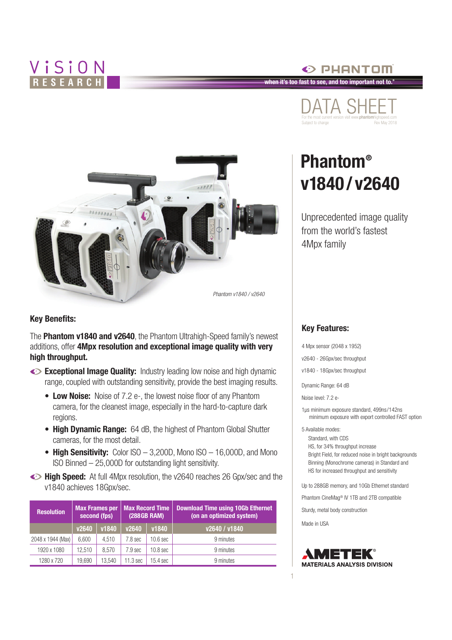## ViSiON RESEARCH



**Key Benefits:**

The **Phantom v1840 and v2640**, the Phantom Ultrahigh-Speed family's newest additions, offer **4Mpx resolution and exceptional image quality with very high throughput.**

- **Exceptional Image Quality:** Industry leading low noise and high dynamic range, coupled with outstanding sensitivity, provide the best imaging results.
	- **Low Noise:** Noise of 7.2 e-, the lowest noise floor of any Phantom camera, for the cleanest image, especially in the hard-to-capture dark regions.
	- **High Dynamic Range:** 64 dB, the highest of Phantom Global Shutter cameras, for the most detail.
	- High Sensitivity: Color ISO 3,200D, Mono ISO 16,000D, and Mono ISO Binned – 25,000D for outstanding light sensitivity.
- **High Speed:** At full 4Mpx resolution, the v2640 reaches 26 Gpx/sec and the v1840 achieves 18Gpx/sec.

| <b>Resolution</b> | Max Frames per<br>second (fps) |        | <b>Max Record Time</b><br><b>(288GB RAM)</b> |                     | <b>Download Time using 10Gb Ethernet</b><br>(on an optimized system) |  |
|-------------------|--------------------------------|--------|----------------------------------------------|---------------------|----------------------------------------------------------------------|--|
|                   | v2640                          | v1840  | v2640                                        | v1840               | v2640 / v1840                                                        |  |
| 2048 x 1944 (Max) | 6.600                          | 4.510  | 7.8 sec                                      | 10.6 <sub>sec</sub> | 9 minutes                                                            |  |
| 1920 x 1080       | 12.510                         | 8.570  | 7.9 sec                                      | 10.8 <sub>sec</sub> | 9 minutes                                                            |  |
| 1280 x 720        | 19.690                         | 13.540 | 11.3 sec                                     | 15.4 sec            | 9 minutes                                                            |  |



 $\odot$  PHANTOM

**when it's too fast to see, and too important not to.®**

# **Phantom® v1840 /v2640**

Unprecedented image quality from the world's fastest 4Mpx family

#### **Key Features:**

4 Mpx sensor (2048 x 1952)

v2640 - 26Gpx/sec throughput

v1840 - 18Gpx/sec throughput

Dynamic Range: 64 dB

Noise level: 7.2 e-

1µs minimum exposure standard, 499ns/142ns minimum exposure with export controlled FAST option

5 Available modes:

Standard, with CDS HS, for 34% throughput increase Bright Field, for reduced noise in bright backgrounds Binning (Monochrome cameras) in Standard and HS for increased throughput and sensitivity

Up to 288GB memory, and 10Gb Ethernet standard

Phantom CineMag® IV 1TB and 2TB compatible

Sturdy, metal body construction

Made in USA

1

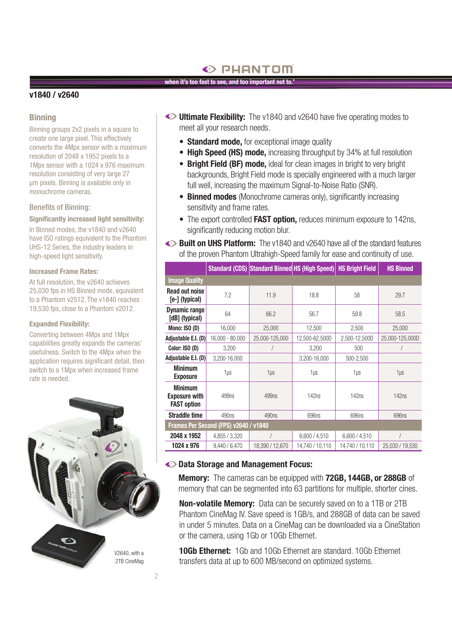### $\odot$  PHANTOM

#### **when it's too fast to see, and too important not to.®**

#### **v1840 / v2640**

#### **Binning**

Binning groups 2x2 pixels in a square to create one large pixel. This effectively converts the 4Mpx sensor with a maximum resolution of 2048 x 1952 pixels to a 1Mpx sensor with a 1024 x 976 maximum resolution consisting of very large 27 µm pixels. Binning is available only in monochrome cameras.

#### Benefits of Binning:

#### **Significantly increased light sensitivity:**

In Binned modes, the v1840 and v2640 have ISO ratings equivalent to the Phantom UHS-12 Series, the industry leaders in high-speed light sensitivity.

#### **Increased Frame Rates:**

At full resolution, the v2640 achieves 25,030 fps in HS Binned mode, equivalent to a Phantom v2512. The v1840 reaches 19,530 fps, close to a Phantom v2012.

#### **Expanded Flexibility:**

Converting between 4Mpx and 1Mpx capabilities greatly expands the cameras' usefulness. Switch to the 4Mpx when the application requires significant detail, then switch to a 1Mpx when increased frame rate is needed.



- **Ultimate Flexibility:** The v1840 and v2640 have five operating modes to meet all your research needs.
	- **Standard mode,** for exceptional image quality
	- **High Speed (HS) mode,** increasing throughput by 34% at full resolution
	- **Bright Field (BF) mode.** ideal for clean images in bright to very bright backgrounds, Bright Field mode is specially engineered with a much larger full well, increasing the maximum Signal-to-Noise Ratio (SNR).
	- **Binned modes** (Monochrome cameras only), significantly increasing sensitivity and frame rates.
	- The export controlled **FAST option,** reduces minimum exposure to 142ns, significantly reducing motion blur.
- **Built on UHS Platform:** The v1840 and v2640 have all of the standard features of the proven Phantom Ultrahigh-Speed family for ease and continuity of use.

|                                                              |                   | Standard (CDS) Standard Binned HS (High Speed) |                 | <b>HS Bright Field</b> | <b>HS Binned</b> |  |  |
|--------------------------------------------------------------|-------------------|------------------------------------------------|-----------------|------------------------|------------------|--|--|
| <b>Image Quality</b>                                         |                   |                                                |                 |                        |                  |  |  |
| <b>Read out noise</b><br>[e-] (typical)                      | 7.2               | 11.9                                           | 18.8            | 58                     | 29.7             |  |  |
| <b>Dynamic range</b><br>[dB] (typical)                       | 64                | 66.2                                           | 56.7            | 59.8                   | 58.5             |  |  |
| Mono: ISO (D)                                                | 16,000            | 25,000                                         | 12,500          | 2,500                  | 25,000           |  |  |
| Adjustable E.I. (D)                                          | $16,000 - 80,000$ | 25,000-125,000                                 | 12,500-62,500D  | 2,500-12,500D          | 25,000-125,000D  |  |  |
| Color: ISO (D)                                               | 3,200             |                                                | 3,200           | 500                    |                  |  |  |
| Adjustable E.I. (D)                                          | 3,200-16,000      |                                                | 3,200-16,000    | 500-2,500              |                  |  |  |
| <b>Minimum</b><br><b>Exposure</b>                            | 1 <sub>µ</sub>    | 1 <sub>µS</sub>                                | 1 <sub>µ</sub>  | 1µs                    | 1 <sub>µ</sub>   |  |  |
| <b>Minimum</b><br><b>Exposure with</b><br><b>FAST option</b> | 499ns             | 499ns                                          | 142ns           | 142ns                  | 142ns            |  |  |
| <b>Straddle time</b>                                         | 490ns             | 490ns                                          | 696ns           | 696ns                  | 696ns            |  |  |
| Frames Per Second (FPS) v2640 / v1840                        |                   |                                                |                 |                        |                  |  |  |
| 2048 x 1952                                                  | 4,855 / 3,320     |                                                | 6,600 / 4,510   | 6,600 / 4,510          |                  |  |  |
| 1024 x 976                                                   | 9,440 / 6,470     | 18,390 / 12,670                                | 14,740 / 10,110 | 14,740 / 10,110        | 25,030 / 19,530  |  |  |

#### **Data Storage and Management Focus:**

**Memory:** The cameras can be equipped with **72GB, 144GB, or 288GB** of memory that can be segmented into 63 partitions for multiple, shorter cines.

**Non-volatile Memory:** Data can be securely saved on to a 1TB or 2TB Phantom CineMag IV. Save speed is 1GB/s, and 288GB of data can be saved in under 5 minutes. Data on a CineMag can be downloaded via a CineStation or the camera, using 1Gb or 10Gb Ethernet.

**10Gb Ethernet:** 1Gb and 10Gb Ethernet are standard. 10Gb Ethernet transfers data at up to 600 MB/second on optimized systems.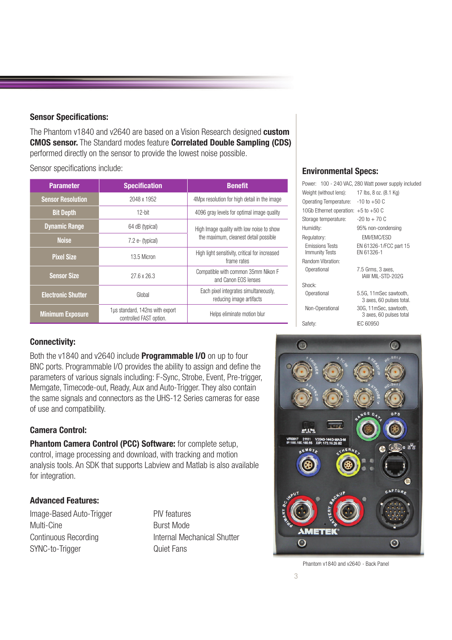#### **Sensor Specifications:**

The Phantom v1840 and v2640 are based on a Vision Research designed **custom CMOS sensor.** The Standard modes feature **Correlated Double Sampling (CDS)** performed directly on the sensor to provide the lowest noise possible.

Sensor specifications include:

| <b>Parameter</b>          | <b>Specification</b>                                       | <b>Benefit</b>                                                    |  |
|---------------------------|------------------------------------------------------------|-------------------------------------------------------------------|--|
| <b>Sensor Resolution</b>  | 2048 x 1952                                                | 4Mpx resolution for high detail in the image                      |  |
| <b>Bit Depth</b>          | $12$ -bit                                                  | 4096 gray levels for optimal image quality                        |  |
| <b>Dynamic Range</b>      | 64 dB (typical)                                            | High Image quality with low noise to show                         |  |
| <b>Noise</b>              | $7.2 e$ - (typical)                                        | the maximum, cleanest detail possible                             |  |
| <b>Pixel Size</b>         | 13.5 Micron                                                | High light sensitivity, critical for increased<br>frame rates     |  |
| <b>Sensor Size</b>        | $27.6 \times 26.3$                                         | Compatible with common 35mm Nikon F<br>and Canon EOS lenses       |  |
| <b>Electronic Shutter</b> | Global                                                     | Each pixel integrates simultaneously,<br>reducing image artifacts |  |
| <b>Minimum Exposure</b>   | 1µs standard, 142ns with export<br>controlled FAST option. | Helps eliminate motion blur                                       |  |

#### **Environmental Specs:**

|                                          | Power: 100 - 240 VAC, 280 Watt power supply included |
|------------------------------------------|------------------------------------------------------|
| Weight (without lens):                   | 17 lbs, 8 oz. (8.1 Kg)                               |
| Operating Temperature:                   | $-10$ to $+50$ C                                     |
| 10Gb Ethernet operation: $+5$ to $+50$ C |                                                      |
| Storage temperature:                     | $-20$ to $+70$ C                                     |
| Humidity:                                | 95% non-condensing                                   |
| Regulatory:                              | <b>EMI/EMC/ESD</b>                                   |
| <b>Emissions Tests</b><br>Immunity Tests | EN 61326-1/FCC part 15<br>FN 61326-1                 |
| Random Vibration:                        |                                                      |
| Operational                              | 7.5 Grms, 3 axes,<br>IAW MIL-STD-202G                |
| Shock:                                   |                                                      |
| Operational                              | 5.5G, 11mSec sawtooth,<br>3 axes, 60 pulses total.   |
| Non-Operational                          | 30G, 11mSec, sawtooth,<br>3 axes, 60 pulses total    |
| Safety:                                  | IEC 60950                                            |
|                                          |                                                      |

#### **Connectivity:**

Both the v1840 and v2640 include **Programmable I/O** on up to four BNC ports. Programmable I/O provides the ability to assign and define the parameters of various signals including: F-Sync, Strobe, Event, Pre-trigger, Memgate, Timecode-out, Ready, Aux and Auto-Trigger. They also contain the same signals and connectors as the UHS-12 Series cameras for ease of use and compatibility.

#### **Camera Control:**

**Phantom Camera Control (PCC) Software:** for complete setup, control, image processing and download, with tracking and motion analysis tools. An SDK that supports Labview and Matlab is also available for integration.

#### **Advanced Features:**

Image-Based Auto-Trigger PIV features Multi-Cine **Burst Mode** SYNC-to-Trigger Quiet Fans

Continuous Recording **Internal Mechanical Shutter** 



Phantom v1840 and v2640 - Back Panel